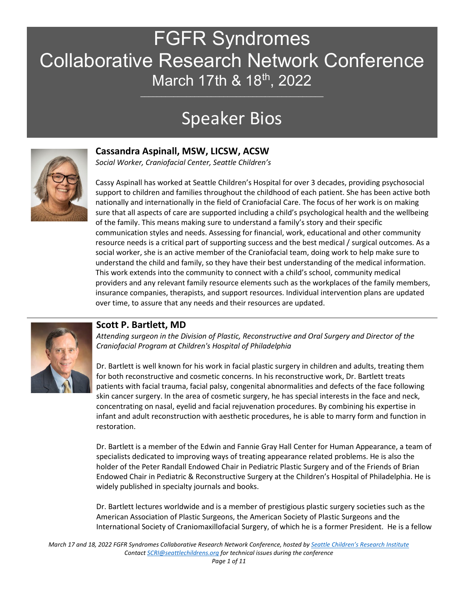# FGFR Syndromes Collaborative Research Network Conference March 17th & 18<sup>th</sup>, 2022

# Speaker Bios



# **Cassandra Aspinall, MSW, LICSW, ACSW**

*Social Worker, Craniofacial Center, Seattle Children's*

Cassy Aspinall has worked at Seattle Children's Hospital for over 3 decades, providing psychosocial support to children and families throughout the childhood of each patient. She has been active both nationally and internationally in the field of Craniofacial Care. The focus of her work is on making sure that all aspects of care are supported including a child's psychological health and the wellbeing of the family. This means making sure to understand a family's story and their specific communication styles and needs. Assessing for financial, work, educational and other community resource needs is a critical part of supporting success and the best medical / surgical outcomes. As a social worker, she is an active member of the Craniofacial team, doing work to help make sure to understand the child and family, so they have their best understanding of the medical information. This work extends into the community to connect with a child's school, community medical providers and any relevant family resource elements such as the workplaces of the family members, insurance companies, therapists, and support resources. Individual intervention plans are updated over time, to assure that any needs and their resources are updated.



# **Scott P. Bartlett, MD**

*Attending surgeon in the Division of Plastic, Reconstructive and Oral Surgery and Director of the Craniofacial Program at Children's Hospital of Philadelphia*

Dr. Bartlett is well known for his work in facial plastic surgery in children and adults, treating them for both reconstructive and cosmetic concerns. In his reconstructive work, Dr. Bartlett treats patients with facial trauma, facial palsy, congenital abnormalities and defects of the face following skin cancer surgery. In the area of cosmetic surgery, he has special interests in the face and neck, concentrating on nasal, eyelid and facial rejuvenation procedures. By combining his expertise in infant and adult reconstruction with aesthetic procedures, he is able to marry form and function in restoration.

Dr. Bartlett is a member of the Edwin and Fannie Gray Hall Center for Human Appearance, a team of specialists dedicated to improving ways of treating appearance related problems. He is also the holder of the Peter Randall Endowed Chair in Pediatric Plastic Surgery and of the Friends of Brian Endowed Chair in Pediatric & Reconstructive Surgery at the Children's Hospital of Philadelphia. He is widely published in specialty journals and books.

Dr. Bartlett lectures worldwide and is a member of prestigious plastic surgery societies such as the American Association of Plastic Surgeons, the American Society of Plastic Surgeons and the International Society of Craniomaxillofacial Surgery, of which he is a former President. He is a fellow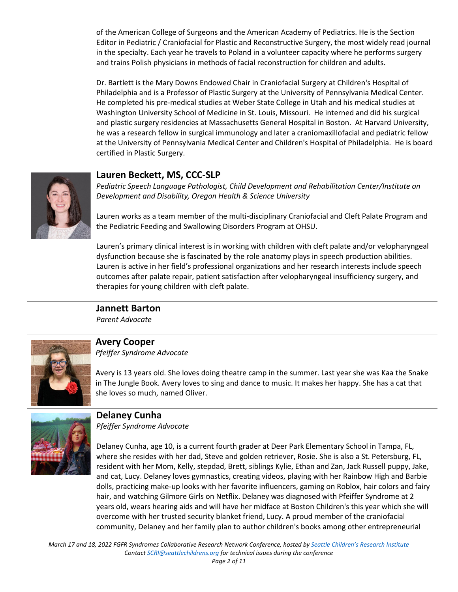of the American College of Surgeons and the American Academy of Pediatrics. He is the Section Editor in Pediatric / Craniofacial for Plastic and Reconstructive Surgery, the most widely read journal in the specialty. Each year he travels to Poland in a volunteer capacity where he performs surgery and trains Polish physicians in methods of facial reconstruction for children and adults.

Dr. Bartlett is the Mary Downs Endowed Chair in Craniofacial Surgery at Children's Hospital of Philadelphia and is a Professor of Plastic Surgery at the University of Pennsylvania Medical Center. He completed his pre-medical studies at Weber State College in Utah and his medical studies at Washington University School of Medicine in St. Louis, Missouri. He interned and did his surgical and plastic surgery residencies at Massachusetts General Hospital in Boston. At Harvard University, he was a research fellow in surgical immunology and later a craniomaxillofacial and pediatric fellow at the University of Pennsylvania Medical Center and Children's Hospital of Philadelphia. He is board certified in Plastic Surgery.



### **Lauren Beckett, MS, CCC-SLP**

*Pediatric Speech Language Pathologist, Child Development and Rehabilitation Center/Institute on Development and Disability, Oregon Health & Science University* 

Lauren works as a team member of the multi-disciplinary Craniofacial and Cleft Palate Program and the Pediatric Feeding and Swallowing Disorders Program at OHSU.

Lauren's primary clinical interest is in working with children with cleft palate and/or velopharyngeal dysfunction because she is fascinated by the role anatomy plays in speech production abilities. Lauren is active in her field's professional organizations and her research interests include speech outcomes after palate repair, patient satisfaction after velopharyngeal insufficiency surgery, and therapies for young children with cleft palate.



**Jannett Barton** *Parent Advocate*

**Avery Cooper**

*Pfeiffer Syndrome Advocate*

Avery is 13 years old. She loves doing theatre camp in the summer. Last year she was Kaa the Snake in The Jungle Book. Avery loves to sing and dance to music. It makes her happy. She has a cat that she loves so much, named Oliver.



# **Delaney Cunha**

*Pfeiffer Syndrome Advocate*

Delaney Cunha, age 10, is a current fourth grader at Deer Park Elementary School in Tampa, FL, where she resides with her dad, Steve and golden retriever, Rosie. She is also a St. Petersburg, FL, resident with her Mom, Kelly, stepdad, Brett, siblings Kylie, Ethan and Zan, Jack Russell puppy, Jake, and cat, Lucy. Delaney loves gymnastics, creating videos, playing with her Rainbow High and Barbie dolls, practicing make-up looks with her favorite influencers, gaming on Roblox, hair colors and fairy hair, and watching Gilmore Girls on Netflix. Delaney was diagnosed with Pfeiffer Syndrome at 2 years old, wears hearing aids and will have her midface at Boston Children's this year which she will overcome with her trusted security blanket friend, Lucy. A proud member of the craniofacial community, Delaney and her family plan to author children's books among other entrepreneurial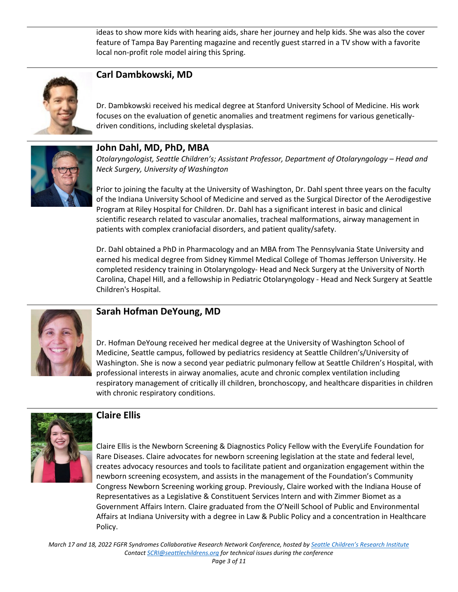ideas to show more kids with hearing aids, share her journey and help kids. She was also the cover feature of Tampa Bay Parenting magazine and recently guest starred in a TV show with a favorite local non-profit role model airing this Spring.



# **Carl Dambkowski, MD**

Dr. Dambkowski received his medical degree at Stanford University School of Medicine. His work focuses on the evaluation of genetic anomalies and treatment regimens for various geneticallydriven conditions, including skeletal dysplasias.



# **John Dahl, MD, PhD, MBA**

*Otolaryngologist, Seattle Children's; Assistant Professor, Department of Otolaryngology – Head and Neck Surgery, University of Washington* 

Prior to joining the faculty at the University of Washington, Dr. Dahl spent three years on the faculty of the Indiana University School of Medicine and served as the Surgical Director of the Aerodigestive Program at Riley Hospital for Children. Dr. Dahl has a significant interest in basic and clinical scientific research related to vascular anomalies, tracheal malformations, airway management in patients with complex craniofacial disorders, and patient quality/safety.

Dr. Dahl obtained a PhD in Pharmacology and an MBA from The Pennsylvania State University and earned his medical degree from Sidney Kimmel Medical College of Thomas Jefferson University. He completed residency training in Otolaryngology- Head and Neck Surgery at the University of North Carolina, Chapel Hill, and a fellowship in Pediatric Otolaryngology - Head and Neck Surgery at Seattle Children's Hospital.



# **Sarah Hofman DeYoung, MD**

Dr. Hofman DeYoung received her medical degree at the University of Washington School of Medicine, Seattle campus, followed by pediatrics residency at Seattle Children's/University of Washington. She is now a second year pediatric pulmonary fellow at Seattle Children's Hospital, with professional interests in airway anomalies, acute and chronic complex ventilation including respiratory management of critically ill children, bronchoscopy, and healthcare disparities in children with chronic respiratory conditions.



#### **Claire Ellis**

Claire Ellis is the Newborn Screening & Diagnostics Policy Fellow with the EveryLife Foundation for Rare Diseases. Claire advocates for newborn screening legislation at the state and federal level, creates advocacy resources and tools to facilitate patient and organization engagement within the newborn screening ecosystem, and assists in the management of the Foundation's Community Congress Newborn Screening working group. Previously, Claire worked with the Indiana House of Representatives as a Legislative & Constituent Services Intern and with Zimmer Biomet as a Government Affairs Intern. Claire graduated from the O'Neill School of Public and Environmental Affairs at Indiana University with a degree in Law & Public Policy and a concentration in Healthcare Policy.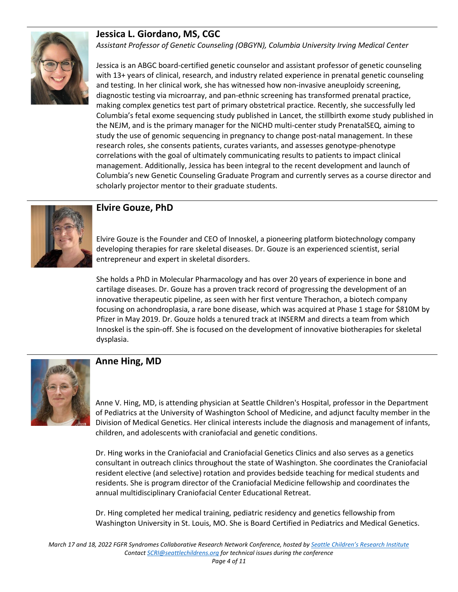# **Jessica L. Giordano, MS, CGC**



*Assistant Professor of Genetic Counseling (OBGYN), Columbia University Irving Medical Center*

Jessica is an ABGC board-certified genetic counselor and assistant professor of genetic counseling with 13+ years of clinical, research, and industry related experience in prenatal genetic counseling and testing. In her clinical work, she has witnessed how non-invasive aneuploidy screening, diagnostic testing via microarray, and pan-ethnic screening has transformed prenatal practice, making complex genetics test part of primary obstetrical practice. Recently, she successfully led Columbia's fetal exome sequencing study published in Lancet, the stillbirth exome study published in the NEJM, and is the primary manager for the NICHD multi-center study PrenatalSEQ, aiming to study the use of genomic sequencing in pregnancy to change post-natal management. In these research roles, she consents patients, curates variants, and assesses genotype-phenotype correlations with the goal of ultimately communicating results to patients to impact clinical management. Additionally, Jessica has been integral to the recent development and launch of Columbia's new Genetic Counseling Graduate Program and currently serves as a course director and scholarly projector mentor to their graduate students.



# **Elvire Gouze, PhD**

Elvire Gouze is the Founder and CEO of Innoskel, a pioneering platform biotechnology company developing therapies for rare skeletal diseases. Dr. Gouze is an experienced scientist, serial entrepreneur and expert in skeletal disorders.

She holds a PhD in Molecular Pharmacology and has over 20 years of experience in bone and cartilage diseases. Dr. Gouze has a proven track record of progressing the development of an innovative therapeutic pipeline, as seen with her first venture Therachon, a biotech company focusing on achondroplasia, a rare bone disease, which was acquired at Phase 1 stage for \$810M by Pfizer in May 2019. Dr. Gouze holds a tenured track at INSERM and directs a team from which Innoskel is the spin-off. She is focused on the development of innovative biotherapies for skeletal dysplasia.



#### **Anne Hing, MD**

Anne V. Hing, MD, is attending physician at Seattle Children's Hospital, professor in the Department of Pediatrics at the University of Washington School of Medicine, and adjunct faculty member in the Division of Medical Genetics. Her clinical interests include the diagnosis and management of infants, children, and adolescents with craniofacial and genetic conditions.

Dr. Hing works in the Craniofacial and Craniofacial Genetics Clinics and also serves as a genetics consultant in outreach clinics throughout the state of Washington. She coordinates the Craniofacial resident elective (and selective) rotation and provides bedside teaching for medical students and residents. She is program director of the Craniofacial Medicine fellowship and coordinates the annual multidisciplinary Craniofacial Center Educational Retreat.

Dr. Hing completed her medical training, pediatric residency and genetics fellowship from Washington University in St. Louis, MO. She is Board Certified in Pediatrics and Medical Genetics.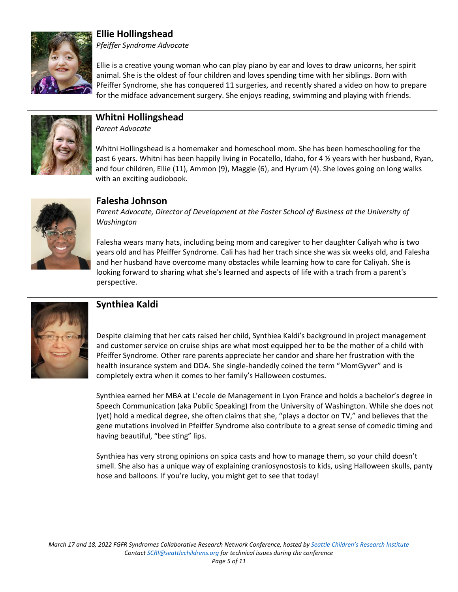

**Ellie Hollingshead**

*Pfeiffer Syndrome Advocate*

Ellie is a creative young woman who can play piano by ear and loves to draw unicorns, her spirit animal. She is the oldest of four children and loves spending time with her siblings. Born with Pfeiffer Syndrome, she has conquered 11 surgeries, and recently shared a video on how to prepare for the midface advancement surgery. She enjoys reading, swimming and playing with friends.



#### **Whitni Hollingshead** *Parent Advocate*

Whitni Hollingshead is a homemaker and homeschool mom. She has been homeschooling for the past 6 years. Whitni has been happily living in Pocatello, Idaho, for 4 ½ years with her husband, Ryan, and four children, Ellie (11), Ammon (9), Maggie (6), and Hyrum (4). She loves going on long walks with an exciting audiobook.



### **Falesha Johnson**

*Parent Advocate, Director of Development at the Foster School of Business at the University of Washington*

Falesha wears many hats, including being mom and caregiver to her daughter Caliyah who is two years old and has Pfeiffer Syndrome. Cali has had her trach since she was six weeks old, and Falesha and her husband have overcome many obstacles while learning how to care for Caliyah. She is looking forward to sharing what she's learned and aspects of life with a trach from a parent's perspective.



# **Synthiea Kaldi**

Despite claiming that her cats raised her child, Synthiea Kaldi's background in project management and customer service on cruise ships are what most equipped her to be the mother of a child with Pfeiffer Syndrome. Other rare parents appreciate her candor and share her frustration with the health insurance system and DDA. She single-handedly coined the term "MomGyver" and is completely extra when it comes to her family's Halloween costumes.

Synthiea earned her MBA at L'ecole de Management in Lyon France and holds a bachelor's degree in Speech Communication (aka Public Speaking) from the University of Washington. While she does not (yet) hold a medical degree, she often claims that she, "plays a doctor on TV," and believes that the gene mutations involved in Pfeiffer Syndrome also contribute to a great sense of comedic timing and having beautiful, "bee sting" lips.

Synthiea has very strong opinions on spica casts and how to manage them, so your child doesn't smell. She also has a unique way of explaining craniosynostosis to kids, using Halloween skulls, panty hose and balloons. If you're lucky, you might get to see that today!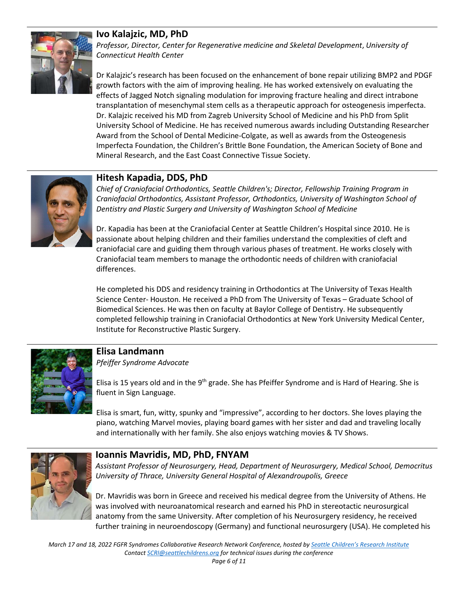# **Ivo Kalajzic, MD, PhD**



*Professor, Director, Center for Regenerative medicine and Skeletal Development*, *University of Connecticut Health Center*

Dr Kalajzic's research has been focused on the enhancement of bone repair utilizing BMP2 and PDGF growth factors with the aim of improving healing. He has worked extensively on evaluating the effects of Jagged Notch signaling modulation for improving fracture healing and direct intrabone transplantation of mesenchymal stem cells as a therapeutic approach for osteogenesis imperfecta. Dr. Kalajzic received his MD from Zagreb University School of Medicine and his PhD from Split University School of Medicine. He has received numerous awards including Outstanding Researcher Award from the School of Dental Medicine-Colgate, as well as awards from the Osteogenesis Imperfecta Foundation, the Children's Brittle Bone Foundation, the American Society of Bone and Mineral Research, and the East Coast Connective Tissue Society.



# **Hitesh Kapadia, DDS, PhD**

*Chief of Craniofacial Orthodontics, Seattle Children's; Director, Fellowship Training Program in Craniofacial Orthodontics, Assistant Professor, Orthodontics, University of Washington School of Dentistry and Plastic Surgery and University of Washington School of Medicine*

Dr. Kapadia has been at the Craniofacial Center at Seattle Children's Hospital since 2010. He is passionate about helping children and their families understand the complexities of cleft and craniofacial care and guiding them through various phases of treatment. He works closely with Craniofacial team members to manage the orthodontic needs of children with craniofacial differences.

He completed his DDS and residency training in Orthodontics at The University of Texas Health Science Center- Houston. He received a PhD from The University of Texas – Graduate School of Biomedical Sciences. He was then on faculty at Baylor College of Dentistry. He subsequently completed fellowship training in Craniofacial Orthodontics at New York University Medical Center, Institute for Reconstructive Plastic Surgery.



# **Elisa Landmann**

*Pfeiffer Syndrome Advocate*

Elisa is 15 years old and in the 9<sup>th</sup> grade. She has Pfeiffer Syndrome and is Hard of Hearing. She is fluent in Sign Language.

Elisa is smart, fun, witty, spunky and "impressive", according to her doctors. She loves playing the piano, watching Marvel movies, playing board games with her sister and dad and traveling locally and internationally with her family. She also enjoys watching movies & TV Shows.



# **Ioannis Mavridis, MD, PhD, FNYAM**

*Assistant Professor of Neurosurgery, Head, Department of Neurosurgery, Medical School, Democritus University of Thrace, University General Hospital of Alexandroupolis, Greece* 

Dr. Mavridis was born in Greece and received his medical degree from the University of Athens. He was involved with neuroanatomical research and earned his PhD in stereotactic neurosurgical anatomy from the same University. After completion of his Neurosurgery residency, he received further training in neuroendoscopy (Germany) and functional neurosurgery (USA). He completed his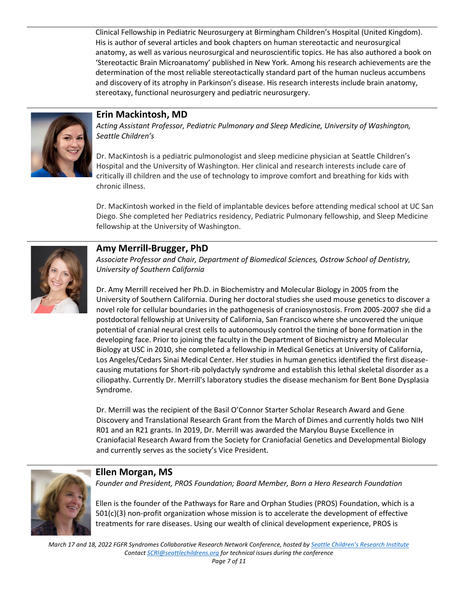Clinical Fellowship in Pediatric Neurosurgery at Birmingham Children's Hospital (United Kingdom). His is author of several articles and book chapters on human stereotactic and neurosurgical anatomy, as well as various neurosurgical and neuroscientific topics. He has also authored a book on 'Stereotactic Brain Microanatomy' published in New York. Among his research achievements are the determination of the most reliable stereotactically standard part of the human nucleus accumbens and discovery of its atrophy in Parkinson's disease. His research interests include brain anatomy, stereotaxy, functional neurosurgery and pediatric neurosurgery.



# **Erin Mackintosh, MD**

*Acting Assistant Professor, Pediatric Pulmonary and Sleep Medicine, University of Washington, Seattle Children's* 

Dr. MacKintosh is a pediatric pulmonologist and sleep medicine physician at Seattle Children's Hospital and the University of Washington. Her clinical and research interests include care of critically ill children and the use of technology to improve comfort and breathing for kids with chronic illness.

Dr. MacKintosh worked in the field of implantable devices before attending medical school at UC San Diego. She completed her Pediatrics residency, Pediatric Pulmonary fellowship, and Sleep Medicine fellowship at the University of Washington.



# **Amy Merrill-Brugger, PhD**

*Associate Professor and Chair, Department of Biomedical Sciences, Ostrow School of Dentistry, University of Southern California*

Dr. Amy Merrill received her Ph.D. in Biochemistry and Molecular Biology in 2005 from the University of Southern California. During her doctoral studies she used mouse genetics to discover a novel role for cellular boundaries in the pathogenesis of craniosynostosis. From 2005-2007 she did a postdoctoral fellowship at University of California, San Francisco where she uncovered the unique potential of cranial neural crest cells to autonomously control the timing of bone formation in the developing face. Prior to joining the faculty in the Department of Biochemistry and Molecular Biology at USC in 2010, she completed a fellowship in Medical Genetics at University of California, Los Angeles/Cedars Sinai Medical Center. Her studies in human genetics identified the first diseasecausing mutations for Short-rib polydactyly syndrome and establish this lethal skeletal disorder as a ciliopathy. Currently Dr. Merrill's laboratory studies the disease mechanism for Bent Bone Dysplasia Syndrome.

Dr. Merrill was the recipient of the Basil O'Connor Starter Scholar Research Award and Gene Discovery and Translational Research Grant from the March of Dimes and currently holds two NIH R01 and an R21 grants. In 2019, Dr. Merrill was awarded the Marylou Buyse Excellence in Craniofacial Research Award from the Society for Craniofacial Genetics and Developmental Biology and currently serves as the society's Vice President.



# **Ellen Morgan, MS**

*Founder and President, PROS [Foundation;](https://www.linkedin.com/company/pros-foundation/) Board Member, Born a Hero Research Foundation*

Ellen is the founder of the Pathways for Rare and Orphan Studies (PROS) Foundation, which is a 501(c)(3) non-profit organization whose mission is to accelerate the development of effective treatments for rare diseases. Using our wealth of clinical development experience, PROS is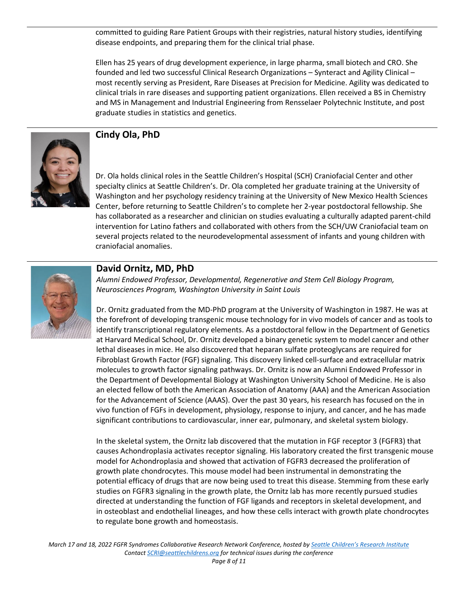committed to guiding Rare Patient Groups with their registries, natural history studies, identifying disease endpoints, and preparing them for the clinical trial phase.

Ellen has 25 years of drug development experience, in large pharma, small biotech and CRO. She founded and led two successful Clinical Research Organizations – Synteract and Agility Clinical – most recently serving as President, Rare Diseases at Precision for Medicine. Agility was dedicated to clinical trials in rare diseases and supporting patient organizations. Ellen received a BS in Chemistry and MS in Management and Industrial Engineering from Rensselaer Polytechnic Institute, and post graduate studies in statistics and genetics.



### **Cindy Ola, PhD**

Dr. Ola holds clinical roles in the Seattle Children's Hospital (SCH) Craniofacial Center and other specialty clinics at Seattle Children's. Dr. Ola completed her graduate training at the University of Washington and her psychology residency training at the University of New Mexico Health Sciences Center, before returning to Seattle Children's to complete her 2-year postdoctoral fellowship. She has collaborated as a researcher and clinician on studies evaluating a culturally adapted parent-child intervention for Latino fathers and collaborated with others from the SCH/UW Craniofacial team on several projects related to the neurodevelopmental assessment of infants and young children with craniofacial anomalies.



### **David Ornitz, MD, PhD**

*Alumni Endowed Professor, Developmental, Regenerative and Stem Cell Biology Program, Neurosciences Program, Washington University in Saint Louis*

Dr. Ornitz graduated from the MD-PhD program at the University of Washington in 1987. He was at the forefront of developing transgenic mouse technology for in vivo models of cancer and as tools to identify transcriptional regulatory elements. As a postdoctoral fellow in the Department of Genetics at Harvard Medical School, Dr. Ornitz developed a binary genetic system to model cancer and other lethal diseases in mice. He also discovered that heparan sulfate proteoglycans are required for Fibroblast Growth Factor (FGF) signaling. This discovery linked cell-surface and extracellular matrix molecules to growth factor signaling pathways. Dr. Ornitz is now an Alumni Endowed Professor in the Department of Developmental Biology at Washington University School of Medicine. He is also an elected fellow of both the American Association of Anatomy (AAA) and the American Association for the Advancement of Science (AAAS). Over the past 30 years, his research has focused on the in vivo function of FGFs in development, physiology, response to injury, and cancer, and he has made significant contributions to cardiovascular, inner ear, pulmonary, and skeletal system biology.

In the skeletal system, the Ornitz lab discovered that the mutation in FGF receptor 3 (FGFR3) that causes Achondroplasia activates receptor signaling. His laboratory created the first transgenic mouse model for Achondroplasia and showed that activation of FGFR3 decreased the proliferation of growth plate chondrocytes. This mouse model had been instrumental in demonstrating the potential efficacy of drugs that are now being used to treat this disease. Stemming from these early studies on FGFR3 signaling in the growth plate, the Ornitz lab has more recently pursued studies directed at understanding the function of FGF ligands and receptors in skeletal development, and in osteoblast and endothelial lineages, and how these cells interact with growth plate chondrocytes to regulate bone growth and homeostasis.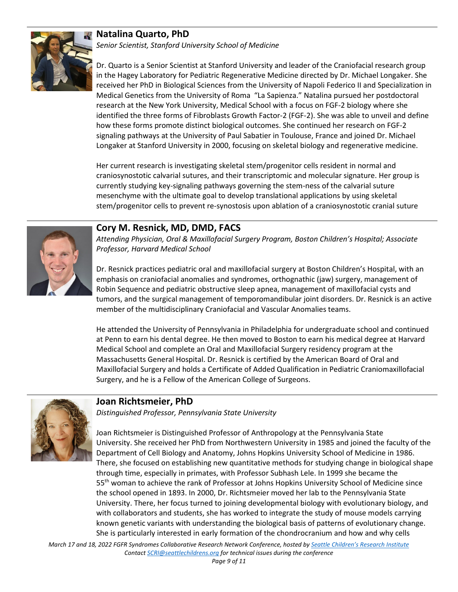# **Natalina Quarto, PhD**



*Senior Scientist, Stanford University School of Medicine*

Dr. Quarto is a Senior Scientist at Stanford University and leader of the Craniofacial research group in the Hagey Laboratory for Pediatric Regenerative Medicine directed by Dr. Michael Longaker. She received her PhD in Biological Sciences from the University of Napoli Federico II and Specialization in Medical Genetics from the University of Roma "La Sapienza." Natalina pursued her postdoctoral research at the New York University, Medical School with a focus on FGF-2 biology where she identified the three forms of Fibroblasts Growth Factor-2 (FGF-2). She was able to unveil and define how these forms promote distinct biological outcomes. She continued her research on FGF-2 signaling pathways at the University of Paul Sabatier in Toulouse, France and joined Dr. Michael Longaker at Stanford University in 2000, focusing on skeletal biology and regenerative medicine.

Her current research is investigating skeletal stem/progenitor cells resident in normal and craniosynostotic calvarial sutures, and their transcriptomic and molecular signature. Her group is currently studying key-signaling pathways governing the stem-ness of the calvarial suture mesenchyme with the ultimate goal to develop translational applications by using skeletal stem/progenitor cells to prevent re-synostosis upon ablation of a craniosynostotic cranial suture



# **Cory M. Resnick, MD, DMD, FACS**

*Attending Physician, Oral & Maxillofacial Surgery Program, Boston Children's Hospital; Associate Professor, Harvard Medical School*

Dr. Resnick practices pediatric oral and maxillofacial surgery at Boston Children's Hospital, with an emphasis on craniofacial anomalies and syndromes, orthognathic (jaw) surgery, management of Robin Sequence and pediatric obstructive sleep apnea, management of maxillofacial cysts and tumors, and the surgical management of temporomandibular joint disorders. Dr. Resnick is an active member of the multidisciplinary Craniofacial and Vascular Anomalies teams.

He attended the University of Pennsylvania in Philadelphia for undergraduate school and continued at Penn to earn his dental degree. He then moved to Boston to earn his medical degree at Harvard Medical School and complete an Oral and Maxillofacial Surgery residency program at the Massachusetts General Hospital. Dr. Resnick is certified by the American Board of Oral and Maxillofacial Surgery and holds a Certificate of Added Qualification in Pediatric Craniomaxillofacial Surgery, and he is a Fellow of the American College of Surgeons.



# **Joan Richtsmeier, PhD**

*Distinguished Professor, Pennsylvania State University*

Joan Richtsmeier is Distinguished Professor of Anthropology at the Pennsylvania State University. She received her PhD from Northwestern University in 1985 and joined the faculty of the Department of Cell Biology and Anatomy, Johns Hopkins University School of Medicine in 1986. There, she focused on establishing new quantitative methods for studying change in biological shape through time, especially in primates, with Professor Subhash Lele. In 1999 she became the 55<sup>th</sup> woman to achieve the rank of Professor at Johns Hopkins University School of Medicine since the school opened in 1893. In 2000, Dr. Richtsmeier moved her lab to the Pennsylvania State University. There, her focus turned to joining developmental biology with evolutionary biology, and with collaborators and students, she has worked to integrate the study of mouse models carrying known genetic variants with understanding the biological basis of patterns of evolutionary change. She is particularly interested in early formation of the chondrocranium and how and why cells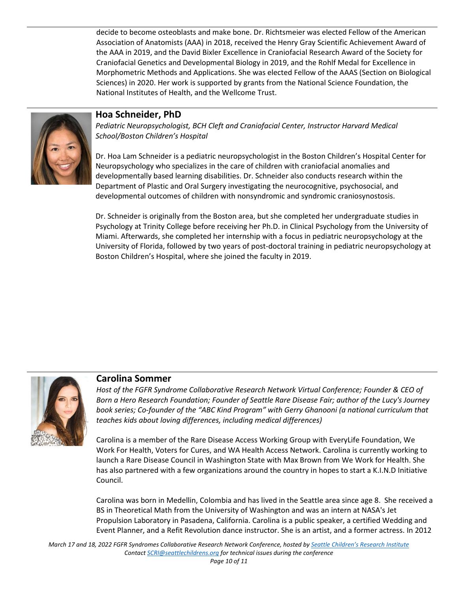decide to become osteoblasts and make bone. Dr. Richtsmeier was elected Fellow of the American Association of Anatomists (AAA) in 2018, received the Henry Gray Scientific Achievement Award of the AAA in 2019, and the David Bixler Excellence in Craniofacial Research Award of the Society for Craniofacial Genetics and Developmental Biology in 2019, and the Rohlf Medal for Excellence in Morphometric Methods and Applications. She was elected Fellow of the AAAS (Section on Biological Sciences) in 2020. Her work is supported by grants from the National Science Foundation, the National Institutes of Health, and the Wellcome Trust.



### **Hoa Schneider, PhD**

*Pediatric Neuropsychologist, BCH Cleft and Craniofacial Center, Instructor Harvard Medical School/Boston Children's Hospital*

Dr. Hoa Lam Schneider is a pediatric neuropsychologist in the Boston Children's Hospital Center for Neuropsychology who specializes in the care of children with craniofacial anomalies and developmentally based learning disabilities. Dr. Schneider also conducts research within the Department of Plastic and Oral Surgery investigating the neurocognitive, psychosocial, and developmental outcomes of children with nonsyndromic and syndromic craniosynostosis.

Dr. Schneider is originally from the Boston area, but she completed her undergraduate studies in Psychology at Trinity College before receiving her Ph.D. in Clinical Psychology from the University of Miami. Afterwards, she completed her internship with a focus in pediatric neuropsychology at the University of Florida, followed by two years of post-doctoral training in pediatric neuropsychology at Boston Children's Hospital, where she joined the faculty in 2019.



#### **Carolina Sommer**

*Host of the FGFR Syndrome Collaborative Research Network Virtual Conference; Founder & CEO of Born a Hero Research Foundation; Founder of Seattle Rare Disease Fair; author of the Lucy's Journey book series; Co-founder of the "ABC Kind Program" with Gerry Ghanooni (a national curriculum that teaches kids about loving differences, including medical differences)* 

Carolina is a member of the Rare Disease Access Working Group with EveryLife Foundation, We Work For Health, Voters for Cures, and WA Health Access Network. Carolina is currently working to launch a Rare Disease Council in Washington State with Max Brown from We Work for Health. She has also partnered with a few organizations around the country in hopes to start a K.I.N.D Initiative Council.

Carolina was born in Medellin, Colombia and has lived in the Seattle area since age 8. She received a BS in Theoretical Math from the University of Washington and was an intern at NASA's Jet Propulsion Laboratory in Pasadena, California. Carolina is a public speaker, a certified Wedding and Event Planner, and a Refit Revolution dance instructor. She is an artist, and a former actress. In 2012